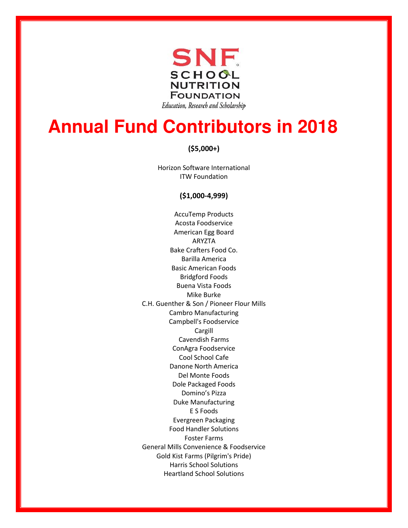

# **Annual Fund Contributors in 2018**

## **(\$5,000+)**

Horizon Software International ITW Foundation

### **(\$1,000-4,999)**

AccuTemp Products Acosta Foodservice American Egg Board ARYZTA Bake Crafters Food Co. Barilla America Basic American Foods Bridgford Foods Buena Vista Foods Mike Burke C.H. Guenther & Son / Pioneer Flour Mills Cambro Manufacturing Campbell's Foodservice Cargill Cavendish Farms ConAgra Foodservice Cool School Cafe Danone North America Del Monte Foods Dole Packaged Foods Domino's Pizza Duke Manufacturing E S Foods Evergreen Packaging Food Handler Solutions Foster Farms General Mills Convenience & Foodservice Gold Kist Farms (Pilgrim's Pride) Harris School Solutions Heartland School Solutions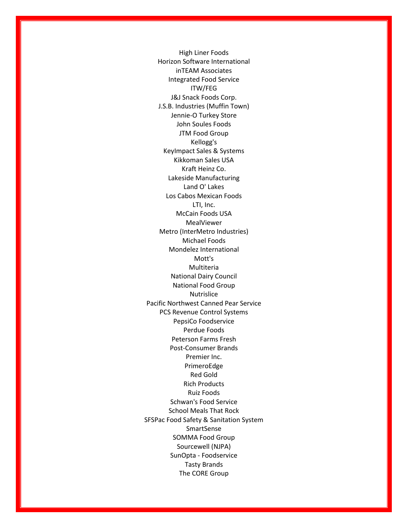High Liner Foods Horizon Software International inTEAM Associates Integrated Food Service ITW/FEG J&J Snack Foods Corp. J.S.B. Industries (Muffin Town) Jennie-O Turkey Store John Soules Foods JTM Food Group Kellogg's KeyImpact Sales & Systems Kikkoman Sales USA Kraft Heinz Co. Lakeside Manufacturing Land O' Lakes Los Cabos Mexican Foods LTI, Inc. McCain Foods USA MealViewer Metro (InterMetro Industries) Michael Foods Mondelez International Mott's Multiteria National Dairy Council National Food Group Nutrislice Pacific Northwest Canned Pear Service PCS Revenue Control Systems PepsiCo Foodservice Perdue Foods Peterson Farms Fresh Post-Consumer Brands Premier Inc. PrimeroEdge Red Gold Rich Products Ruiz Foods Schwan's Food Service School Meals That Rock SFSPac Food Safety & Sanitation System SmartSense SOMMA Food Group Sourcewell (NJPA) SunOpta - Foodservice Tasty Brands The CORE Group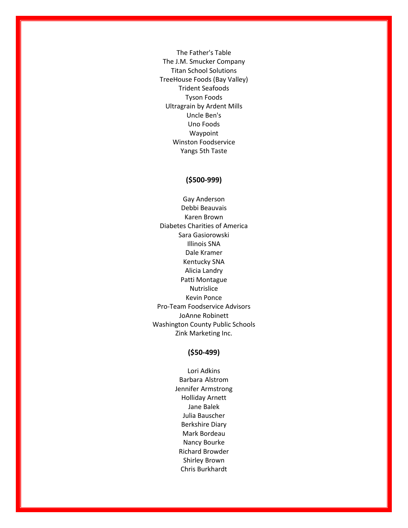The Father's Table The J.M. Smucker Company Titan School Solutions TreeHouse Foods (Bay Valley) Trident Seafoods Tyson Foods Ultragrain by Ardent Mills Uncle Ben's Uno Foods Waypoint Winston Foodservice Yangs 5th Taste

### **(\$500-999)**

Gay Anderson Debbi Beauvais Karen Brown Diabetes Charities of America Sara Gasiorowski Illinois SNA Dale Kramer Kentucky SNA Alicia Landry Patti Montague Nutrislice Kevin Ponce Pro-Team Foodservice Advisors JoAnne Robinett Washington County Public Schools Zink Marketing Inc.

#### **(\$50-499)**

Lori Adkins Barbara Alstrom Jennifer Armstrong Holliday Arnett Jane Balek Julia Bauscher Berkshire Diary Mark Bordeau Nancy Bourke Richard Browder Shirley Brown Chris Burkhardt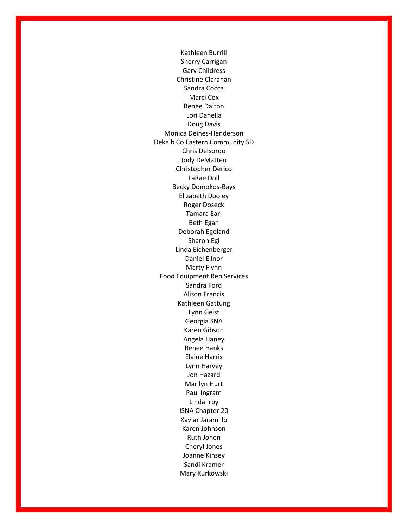Kathleen Burrill Sherry Carrigan Gary Childress Christine Clarahan Sandra Cocca Marci Cox Renee Dalton Lori Danella Doug Davis Monica Deines-Henderson Dekalb Co Eastern Community SD Chris Delsordo Jody DeMatteo Christopher Derico LaRae Doll Becky Domokos-Bays Elizabeth Dooley Roger Doseck Tamara Earl Beth Egan Deborah Egeland Sharon Egi Linda Eichenberger Daniel Ellnor Marty Flynn Food Equipment Rep Services Sandra Ford Alison Francis Kathleen Gattung Lynn Geist Georgia SNA Karen Gibson Angela Haney Renee Hanks Elaine Harris Lynn Harvey Jon Hazard Marilyn Hurt Paul Ingram Linda Irby ISNA Chapter 20 Xaviar Jaramillo Karen Johnson Ruth Jonen Cheryl Jones Joanne Kinsey Sandi Kramer Mary Kurkowski